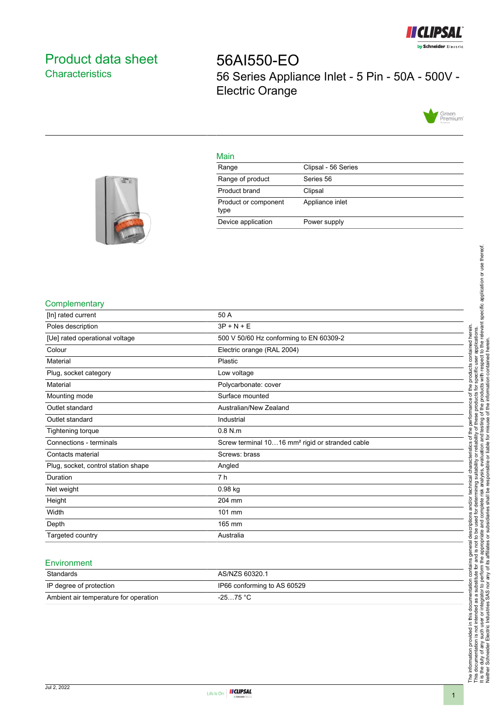

# <span id="page-0-0"></span>Product data sheet **Characteristics**

56AI550-EO 56 Series Appliance Inlet - 5 Pin - 50A - 500V - Electric Orange



#### Main



## **Complementary**

| [In] rated current                  | 50 A                                                        |
|-------------------------------------|-------------------------------------------------------------|
| Poles description                   | $3P + N + E$                                                |
| [Ue] rated operational voltage      | 500 V 50/60 Hz conforming to EN 60309-2                     |
| Colour                              | Electric orange (RAL 2004)                                  |
| Material                            | Plastic                                                     |
| Plug, socket category               | Low voltage                                                 |
| Material                            | Polycarbonate: cover                                        |
| Mounting mode                       | Surface mounted                                             |
| Outlet standard                     | Australian/New Zealand                                      |
| Outlet standard                     | Industrial                                                  |
| Tightening torque                   | $0.8$ N.m                                                   |
| Connections - terminals             | Screw terminal 1016 mm <sup>2</sup> rigid or stranded cable |
| Contacts material                   | Screws: brass                                               |
| Plug, socket, control station shape | Angled                                                      |
| Duration                            | 7 h                                                         |
| Net weight                          | 0.98 kg                                                     |
| Height                              | 204 mm                                                      |
| Width                               | 101 mm                                                      |
| Depth                               | 165 mm                                                      |
| Targeted country                    | Australia                                                   |

#### **Environment**

| Standards                             | AS/NZS 60320.1              |
|---------------------------------------|-----------------------------|
| IP degree of protection               | IP66 conforming to AS 60529 |
| Ambient air temperature for operation | $-2575 °C$                  |